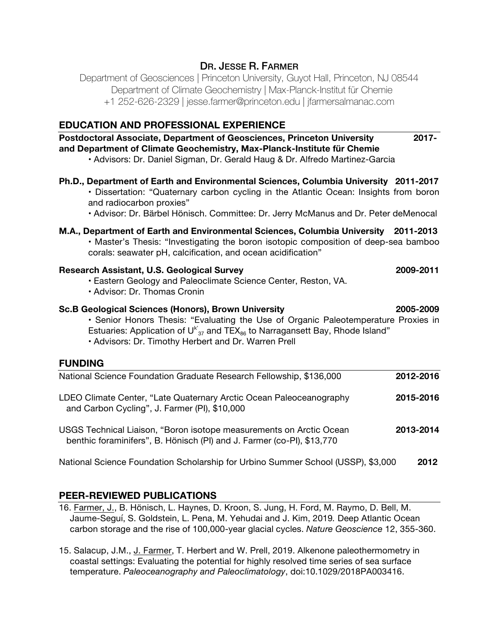# DR. JESSE R. FARMER

Department of Geosciences | Princeton University, Guyot Hall, Princeton, NJ 08544 Department of Climate Geochemistry | Max-Planck-Institut für Chemie +1 252-626-2329 | jesse.farmer@princeton.edu | jfarmersalmanac.com

# **EDUCATION AND PROFESSIONAL EXPERIENCE**

| Postdoctoral Associate, Department of Geosciences, Princeton University<br>and Department of Climate Geochemistry, Max-Planck-Institute für Chemie<br>· Advisors: Dr. Daniel Sigman, Dr. Gerald Haug & Dr. Alfredo Martinez-Garcia                                                                          | $2017 -$  |
|-------------------------------------------------------------------------------------------------------------------------------------------------------------------------------------------------------------------------------------------------------------------------------------------------------------|-----------|
| Ph.D., Department of Earth and Environmental Sciences, Columbia University 2011-2017<br>· Dissertation: "Quaternary carbon cycling in the Atlantic Ocean: Insights from boron<br>and radiocarbon proxies"<br>· Advisor: Dr. Bärbel Hönisch. Committee: Dr. Jerry McManus and Dr. Peter deMenocal            |           |
| M.A., Department of Earth and Environmental Sciences, Columbia University 2011-2013<br>• Master's Thesis: "Investigating the boron isotopic composition of deep-sea bamboo<br>corals: seawater pH, calcification, and ocean acidification"                                                                  |           |
| Research Assistant, U.S. Geological Survey<br>• Eastern Geology and Paleoclimate Science Center, Reston, VA.<br>· Advisor: Dr. Thomas Cronin                                                                                                                                                                | 2009-2011 |
| <b>Sc.B Geological Sciences (Honors), Brown University</b><br>• Senior Honors Thesis: "Evaluating the Use of Organic Paleotemperature Proxies in<br>Estuaries: Application of $U_{37}^{k}$ and TEX <sub>86</sub> to Narragansett Bay, Rhode Island"<br>. Advisors: Dr. Timothy Herbert and Dr. Warren Prell | 2005-2009 |
| <b>FUNDING</b>                                                                                                                                                                                                                                                                                              |           |
| National Science Foundation Graduate Research Fellowship, \$136,000                                                                                                                                                                                                                                         | 2012-2016 |
| LDEO Climate Center, "Late Quaternary Arctic Ocean Paleoceanography<br>and Carbon Cycling", J. Farmer (PI), \$10,000                                                                                                                                                                                        | 2015-2016 |
| USGS Technical Liaison, "Boron isotope measurements on Arctic Ocean<br>benthic foraminifers", B. Hönisch (PI) and J. Farmer (co-PI), \$13,770                                                                                                                                                               | 2013-2014 |
| National Science Foundation Scholarship for Urbino Summer School (USSP), \$3,000                                                                                                                                                                                                                            | 2012      |

# **PEER-REVIEWED PUBLICATIONS**

- 16. Farmer, J., B. Hönisch, L. Haynes, D. Kroon, S. Jung, H. Ford, M. Raymo, D. Bell, M. Jaume-Seguí, S. Goldstein, L. Pena, M. Yehudai and J. Kim, 2019*.* Deep Atlantic Ocean carbon storage and the rise of 100,000-year glacial cycles. *Nature Geoscience* 12, 355-360.
- 15. Salacup, J.M., J. Farmer, T. Herbert and W. Prell, 2019. Alkenone paleothermometry in coastal settings: Evaluating the potential for highly resolved time series of sea surface temperature. *Paleoceanography and Paleoclimatology*, doi:10.1029/2018PA003416.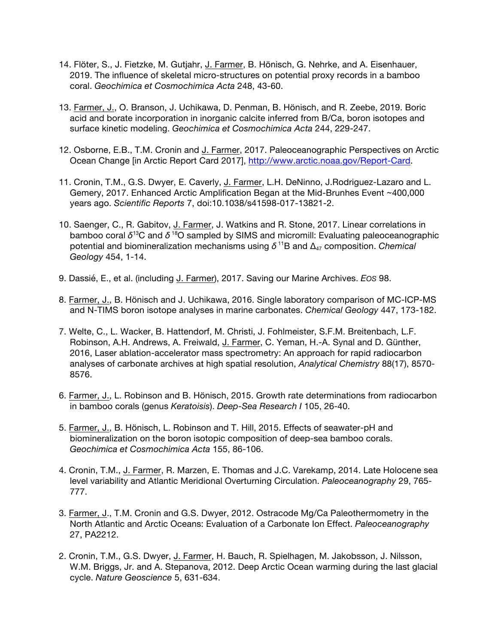- 14. Flöter, S., J. Fietzke, M. Gutjahr, J. Farmer, B. Hönisch, G. Nehrke, and A. Eisenhauer, 2019. The influence of skeletal micro-structures on potential proxy records in a bamboo coral. *Geochimica et Cosmochimica Acta* 248, 43-60.
- 13. Farmer, J., O. Branson, J. Uchikawa, D. Penman, B. Hönisch, and R. Zeebe, 2019. Boric acid and borate incorporation in inorganic calcite inferred from B/Ca, boron isotopes and surface kinetic modeling. *Geochimica et Cosmochimica Acta* 244, 229-247.
- 12. Osborne, E.B., T.M. Cronin and J. Farmer, 2017. Paleoceanographic Perspectives on Arctic Ocean Change [in Arctic Report Card 2017], http://www.arctic.noaa.gov/Report-Card.
- 11. Cronin, T.M., G.S. Dwyer, E. Caverly, J. Farmer, L.H. DeNinno, J.Rodriguez-Lazaro and L. Gemery, 2017. Enhanced Arctic Amplification Began at the Mid-Brunhes Event ~400,000 years ago. *Scientific Reports* 7, doi:10.1038/s41598-017-13821-2.
- 10. Saenger, C., R. Gabitov, J. Farmer, J. Watkins and R. Stone, 2017. Linear correlations in bamboo coral *δ*13C and *δ* 18O sampled by SIMS and micromill: Evaluating paleoceanographic potential and biomineralization mechanisms using *δ* 11B and ∆<sup>47</sup> composition. *Chemical Geology* 454, 1-14.
- 9. Dassié, E., et al. (including J. Farmer), 2017. Saving our Marine Archives. *EOS* 98.
- 8. Farmer, J., B. Hönisch and J. Uchikawa, 2016. Single laboratory comparison of MC-ICP-MS and N-TIMS boron isotope analyses in marine carbonates. *Chemical Geology* 447, 173-182.
- 7. Welte, C., L. Wacker, B. Hattendorf, M. Christi, J. Fohlmeister, S.F.M. Breitenbach, L.F. Robinson, A.H. Andrews, A. Freiwald, J. Farmer, C. Yeman, H.-A. Synal and D. Günther, 2016, Laser ablation-accelerator mass spectrometry: An approach for rapid radiocarbon analyses of carbonate archives at high spatial resolution, *Analytical Chemistry* 88(17), 8570- 8576.
- 6. Farmer, J., L. Robinson and B. Hönisch, 2015. Growth rate determinations from radiocarbon in bamboo corals (genus *Keratoisis*). *Deep-Sea Research I* 105, 26-40.
- 5. Farmer, J., B. Hönisch, L. Robinson and T. Hill, 2015. Effects of seawater-pH and biomineralization on the boron isotopic composition of deep-sea bamboo corals. *Geochimica et Cosmochimica Acta* 155, 86-106.
- 4. Cronin, T.M., J. Farmer, R. Marzen, E. Thomas and J.C. Varekamp, 2014. Late Holocene sea level variability and Atlantic Meridional Overturning Circulation. *Paleoceanography* 29, 765- 777.
- 3. Farmer, J., T.M. Cronin and G.S. Dwyer, 2012. Ostracode Mg/Ca Paleothermometry in the North Atlantic and Arctic Oceans: Evaluation of a Carbonate Ion Effect. *Paleoceanography* 27, PA2212.
- 2. Cronin, T.M., G.S. Dwyer, J. Farmer, H. Bauch, R. Spielhagen, M. Jakobsson, J. Nilsson, W.M. Briggs, Jr. and A. Stepanova, 2012. Deep Arctic Ocean warming during the last glacial cycle. *Nature Geoscience* 5, 631-634.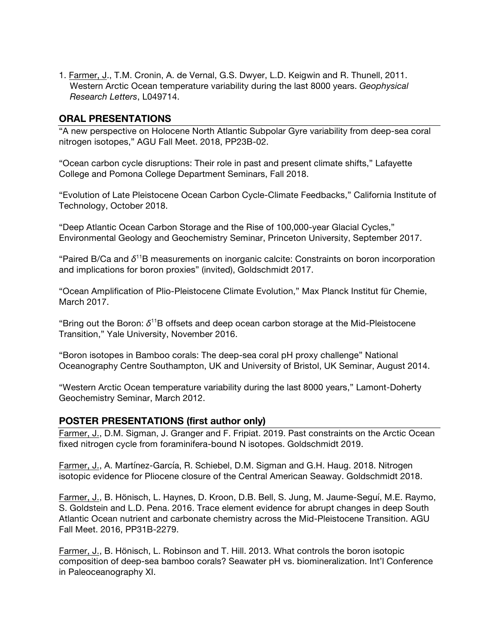1. Farmer, J., T.M. Cronin, A. de Vernal, G.S. Dwyer, L.D. Keigwin and R. Thunell, 2011. Western Arctic Ocean temperature variability during the last 8000 years. *Geophysical Research Letters*, L049714.

# **ORAL PRESENTATIONS**

"A new perspective on Holocene North Atlantic Subpolar Gyre variability from deep-sea coral nitrogen isotopes," AGU Fall Meet. 2018, PP23B-02.

"Ocean carbon cycle disruptions: Their role in past and present climate shifts," Lafayette College and Pomona College Department Seminars, Fall 2018.

"Evolution of Late Pleistocene Ocean Carbon Cycle-Climate Feedbacks," California Institute of Technology, October 2018.

"Deep Atlantic Ocean Carbon Storage and the Rise of 100,000-year Glacial Cycles," Environmental Geology and Geochemistry Seminar, Princeton University, September 2017.

"Paired B/Ca and *δ*11B measurements on inorganic calcite: Constraints on boron incorporation and implications for boron proxies" (invited), Goldschmidt 2017.

"Ocean Amplification of Plio-Pleistocene Climate Evolution," Max Planck Institut für Chemie, March 2017.

"Bring out the Boron: *δ*11B offsets and deep ocean carbon storage at the Mid-Pleistocene Transition," Yale University, November 2016.

"Boron isotopes in Bamboo corals: The deep-sea coral pH proxy challenge" National Oceanography Centre Southampton, UK and University of Bristol, UK Seminar, August 2014.

"Western Arctic Ocean temperature variability during the last 8000 years," Lamont-Doherty Geochemistry Seminar, March 2012.

## **POSTER PRESENTATIONS (first author only)**

Farmer, J., D.M. Sigman, J. Granger and F. Fripiat. 2019. Past constraints on the Arctic Ocean fixed nitrogen cycle from foraminifera-bound N isotopes. Goldschmidt 2019.

Farmer, J., A. Martínez-García, R. Schiebel, D.M. Sigman and G.H. Haug. 2018. Nitrogen isotopic evidence for Pliocene closure of the Central American Seaway. Goldschmidt 2018.

Farmer, J., B. Hönisch, L. Haynes, D. Kroon, D.B. Bell, S. Jung, M. Jaume-Seguí, M.E. Raymo, S. Goldstein and L.D. Pena. 2016. Trace element evidence for abrupt changes in deep South Atlantic Ocean nutrient and carbonate chemistry across the Mid-Pleistocene Transition. AGU Fall Meet. 2016, PP31B-2279.

Farmer, J., B. Hönisch, L. Robinson and T. Hill. 2013. What controls the boron isotopic composition of deep-sea bamboo corals? Seawater pH vs. biomineralization. Int'l Conference in Paleoceanography XI.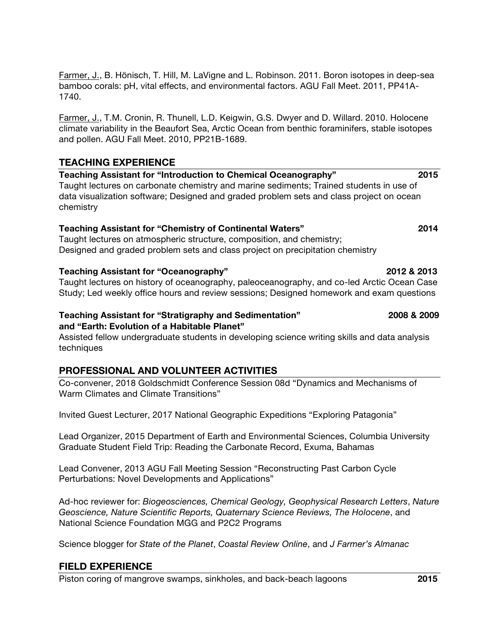Farmer, J., B. Hönisch, T. Hill, M. LaVigne and L. Robinson. 2011. Boron isotopes in deep-sea bamboo corals: pH, vital effects, and environmental factors. AGU Fall Meet. 2011, PP41A-1740.

Farmer, J., T.M. Cronin, R. Thunell, L.D. Keigwin, G.S. Dwyer and D. Willard. 2010. Holocene climate variability in the Beaufort Sea, Arctic Ocean from benthic foraminifers, stable isotopes and pollen. AGU Fall Meet. 2010, PP21B-1689.

# **TEACHING EXPERIENCE**

**Teaching Assistant for "Introduction to Chemical Oceanography" 2015** Taught lectures on carbonate chemistry and marine sediments; Trained students in use of data visualization software; Designed and graded problem sets and class project on ocean chemistry

### **Teaching Assistant for "Chemistry of Continental Waters" 2014**

Taught lectures on atmospheric structure, composition, and chemistry; Designed and graded problem sets and class project on precipitation chemistry

### **Teaching Assistant for "Oceanography" 2012 & 2013**

Taught lectures on history of oceanography, paleoceanography, and co-led Arctic Ocean Case Study; Led weekly office hours and review sessions; Designed homework and exam questions

#### **Teaching Assistant for "Stratigraphy and Sedimentation" 2008 & 2009 and "Earth: Evolution of a Habitable Planet"**

Assisted fellow undergraduate students in developing science writing skills and data analysis techniques

# **PROFESSIONAL AND VOLUNTEER ACTIVITIES**

Co-convener, 2018 Goldschmidt Conference Session 08d "Dynamics and Mechanisms of Warm Climates and Climate Transitions"

Invited Guest Lecturer, 2017 National Geographic Expeditions "Exploring Patagonia"

Lead Organizer, 2015 Department of Earth and Environmental Sciences, Columbia University Graduate Student Field Trip: Reading the Carbonate Record, Exuma, Bahamas

Lead Convener, 2013 AGU Fall Meeting Session "Reconstructing Past Carbon Cycle Perturbations: Novel Developments and Applications"

Ad-hoc reviewer for: *Biogeosciences, Chemical Geology, Geophysical Research Letters*, *Nature Geoscience, Nature Scientific Reports, Quaternary Science Reviews, The Holocene*, and National Science Foundation MGG and P2C2 Programs

Science blogger for *State of the Planet*, *Coastal Review Online*, and *J Farmer's Almanac*

## **FIELD EXPERIENCE**

Piston coring of mangrove swamps, sinkholes, and back-beach lagoons **2015**